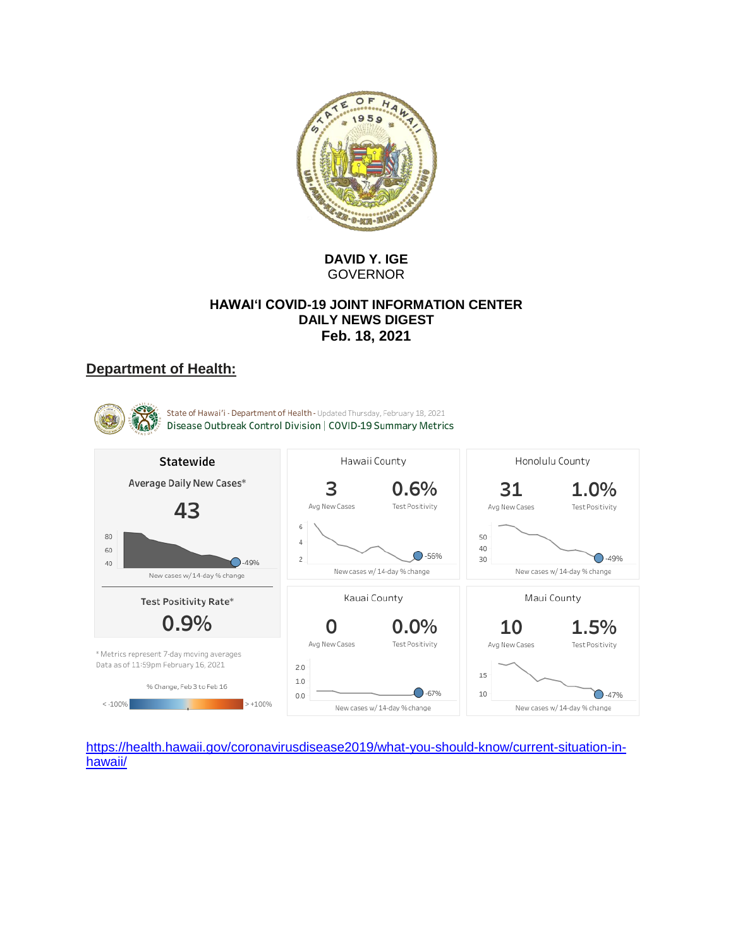

## **DAVID Y. IGE** GOVERNOR

### **HAWAI'I COVID-19 JOINT INFORMATION CENTER DAILY NEWS DIGEST Feb. 18, 2021**

# **Department of Health:**

State of Hawai'i - Department of Health - Updated Thursday, February 18, 2021 Disease Outbreak Control Division | COVID-19 Summary Metrics Hawaii County Honolulu County Statewide Average Daily New Cases\* 3  $0.6%$ 31 1.0% Avg New Cases Test Positivity Test Positivity 43 Avg New Cases 6 80 50  $\overline{4}$  $40<sup>°</sup>$ 60  $O-56%$  $\bigcap -49%$  $\overline{c}$  $30<sup>°</sup>$ 40  $-49%$ New cases w/ 14-day % change New cases w/ 14-day % change New cases w/ 14-day % change Kauai County Maui County Test Positivity Rate\* 0.9% 0  $0.0\%$ 1.5% 10 Avg New Cases Test Positivity Test Positivity Avg New Cases \* Metrics represent 7-day moving averages Data as of 11:59pm February 16, 2021  $2.0$ 15  $1.0$ % Change, Feb 3 to Feb 16  $O - 67%$ 10  $O - 47%$  $0.0$  $< -100%$  $> +100%$ New cases w/ 14-day % change New cases w/ 14-day % change

[https://health.hawaii.gov/coronavirusdisease2019/what-you-should-know/current-situation-in](https://health.hawaii.gov/coronavirusdisease2019/what-you-should-know/current-situation-in-hawaii/)[hawaii/](https://health.hawaii.gov/coronavirusdisease2019/what-you-should-know/current-situation-in-hawaii/)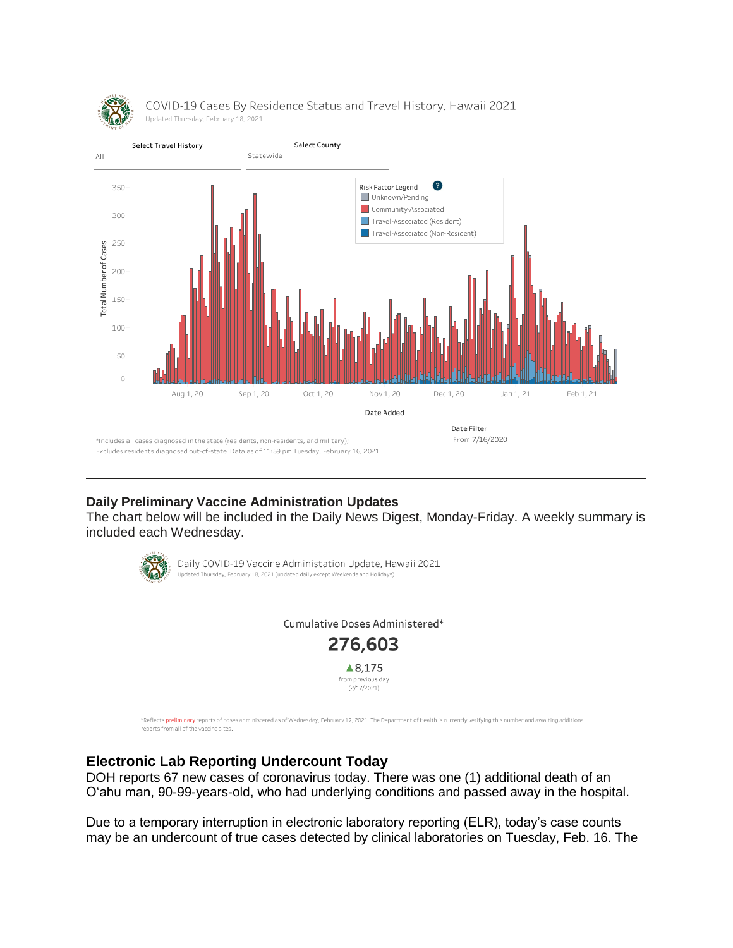

## **Daily Preliminary Vaccine Administration Updates**

The chart below will be included in the Daily News Digest, Monday-Friday. A weekly summary is included each Wednesday.



Daily COVID-19 Vaccine Administation Update, Hawaii 2021 Updated Thursday, February 18, 2021 (updated daily except Weekends and Holidays)

Cumulative Doses Administered\*



\*Reflects preliminary reports of doses administered as of Wednesday, February 17, 2021. The Department of Health is currently verifying this number and awaiting additional reports from all of the vaccine sites.

# **Electronic Lab Reporting Undercount Today**

DOH reports 67 new cases of coronavirus today. There was one (1) additional death of an O'ahu man, 90-99-years-old, who had underlying conditions and passed away in the hospital.

Due to a temporary interruption in electronic laboratory reporting (ELR), today's case counts may be an undercount of true cases detected by clinical laboratories on Tuesday, Feb. 16. The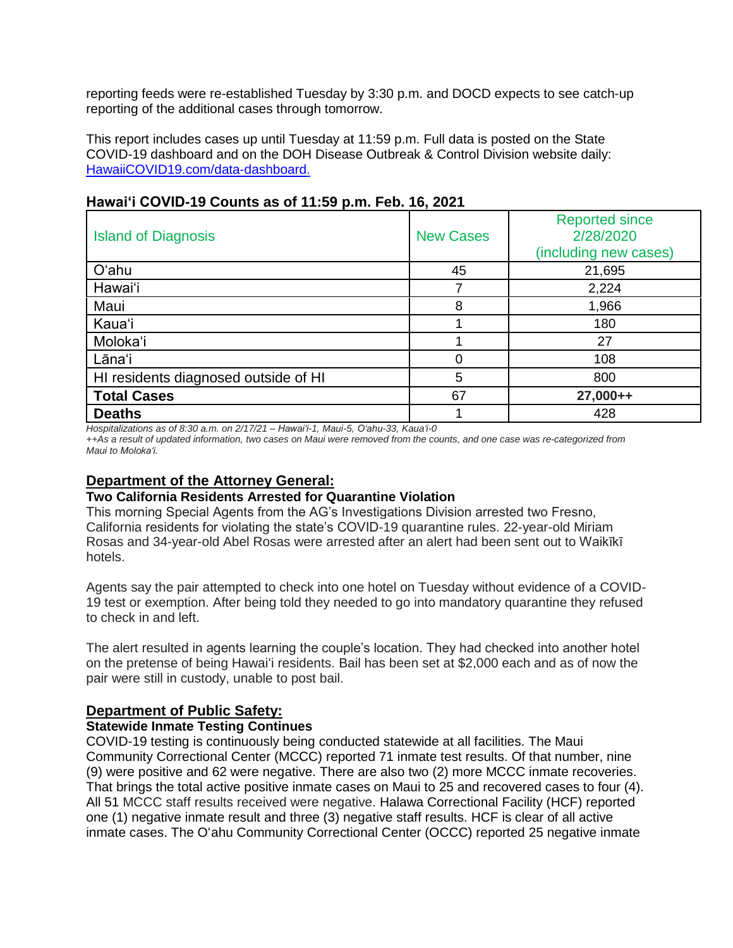reporting feeds were re-established Tuesday by 3:30 p.m. and DOCD expects to see catch-up reporting of the additional cases through tomorrow.

This report includes cases up until Tuesday at 11:59 p.m. Full data is posted on the State COVID-19 dashboard and on the DOH Disease Outbreak & Control Division website daily: [HawaiiCOVID19.com/data-dashboard.](https://hawaiicovid19.com/data-dashboard/)

| <b>Island of Diagnosis</b>           | <b>New Cases</b> | <b>Reported since</b><br>2/28/2020<br>(including new cases) |  |
|--------------------------------------|------------------|-------------------------------------------------------------|--|
| O'ahu                                | 45               | 21,695                                                      |  |
| Hawai'i                              |                  | 2,224                                                       |  |
| Maui                                 | 8                | 1,966                                                       |  |
| Kaua'i                               |                  | 180                                                         |  |
| Moloka'i                             |                  | 27                                                          |  |
| Lāna'i                               | Ω                | 108                                                         |  |
| HI residents diagnosed outside of HI | 5                | 800                                                         |  |
| <b>Total Cases</b>                   | 67               | 27,000++                                                    |  |
| <b>Deaths</b>                        |                  | 428                                                         |  |

## **Hawai'i COVID-19 Counts as of 11:59 p.m. Feb. 16, 2021**

*Hospitalizations as of 8:30 a.m. on 2/17/21 – Hawai'i-1, Maui-5, O'ahu-33, Kauaʻi-0*

*++As a result of updated information, two cases on Maui were removed from the counts, and one case was re-categorized from Maui to Moloka'i.*

### **Department of the Attorney General:**

#### **Two California Residents Arrested for Quarantine Violation**

This morning Special Agents from the AG's Investigations Division arrested two Fresno, California residents for violating the state's COVID-19 quarantine rules. 22-year-old Miriam Rosas and 34-year-old Abel Rosas were arrested after an alert had been sent out to Waikīkī hotels.

Agents say the pair attempted to check into one hotel on Tuesday without evidence of a COVID-19 test or exemption. After being told they needed to go into mandatory quarantine they refused to check in and left.

The alert resulted in agents learning the couple's location. They had checked into another hotel on the pretense of being Hawaiʻi residents. Bail has been set at \$2,000 each and as of now the pair were still in custody, unable to post bail.

### **Department of Public Safety:**

### **Statewide Inmate Testing Continues**

COVID-19 testing is continuously being conducted statewide at all facilities. The Maui Community Correctional Center (MCCC) reported 71 inmate test results. Of that number, nine (9) were positive and 62 were negative. There are also two (2) more MCCC inmate recoveries. That brings the total active positive inmate cases on Maui to 25 and recovered cases to four (4). All 51 MCCC staff results received were negative. Halawa Correctional Facility (HCF) reported one (1) negative inmate result and three (3) negative staff results. HCF is clear of all active inmate cases. The Oʻahu Community Correctional Center (OCCC) reported 25 negative inmate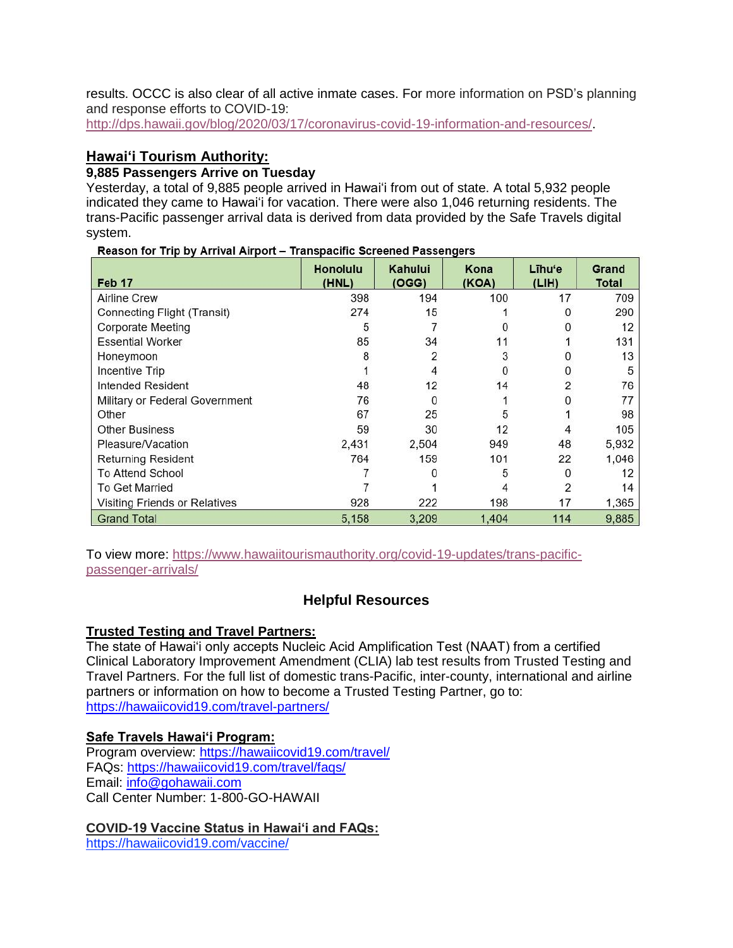results. OCCC is also clear of all active inmate cases. For more information on PSD's planning and response efforts to COVID-19:

[http://dps.hawaii.gov/blog/2020/03/17/coronavirus-covid-19-information-and-resources/.](http://dps.hawaii.gov/blog/2020/03/17/coronavirus-covid-19-information-and-resources/)

# **Hawaiʻi Tourism Authority:**

## **9,885 Passengers Arrive on Tuesday**

Yesterday, a total of 9,885 people arrived in Hawai'i from out of state. A total 5,932 people indicated they came to Hawai'i for vacation. There were also 1,046 returning residents. The trans-Pacific passenger arrival data is derived from data provided by the Safe Travels digital system.

|                                | manopaomo conochoa i accomgolo<br><b>Honolulu</b> | Kahului | Kona  | Līhu'e | Grand |
|--------------------------------|---------------------------------------------------|---------|-------|--------|-------|
| Feb 17                         | (HNL)                                             | (OGG)   | (KOA) | (LIH)  | Total |
| <b>Airline Crew</b>            | 398                                               | 194     | 100   | 17     | 709   |
| Connecting Flight (Transit)    | 274                                               | 15      |       |        | 290   |
| <b>Corporate Meeting</b>       | 5                                                 |         |       |        | 12    |
| <b>Essential Worker</b>        | 85                                                | 34      | 11    |        | 131   |
| Honeymoon                      |                                                   | 2       | 3     |        | 13    |
| Incentive Trip                 |                                                   |         |       |        | 5     |
| Intended Resident              | 48                                                | 12      | 14    |        | 76    |
| Military or Federal Government | 76                                                |         |       |        | 77    |
| Other                          | 67                                                | 25      | 5     |        | 98    |
| <b>Other Business</b>          | 59                                                | 30      | 12    |        | 105   |
| Pleasure/Vacation              | 2,431                                             | 2,504   | 949   | 48     | 5,932 |
| <b>Returning Resident</b>      | 764                                               | 159     | 101   | 22     | 1,046 |
| <b>To Attend School</b>        |                                                   |         | 5     |        | 12    |
| <b>To Get Married</b>          |                                                   |         |       | 2      | 14    |
| Visiting Friends or Relatives  | 928                                               | 222     | 198   | 17     | 1,365 |
| <b>Grand Total</b>             | 5.158                                             | 3.209   | 1.404 | 114    | 9,885 |

Reason for Trip by Arrival Airport - Transpacific Screened Passengers

To view more: [https://www.hawaiitourismauthority.org/covid-19-updates/trans-pacific](https://www.hawaiitourismauthority.org/covid-19-updates/trans-pacific-passenger-arrivals/)[passenger-arrivals/](https://www.hawaiitourismauthority.org/covid-19-updates/trans-pacific-passenger-arrivals/)

# **Helpful Resources**

## **Trusted Testing and Travel Partners:**

The state of Hawai'i only accepts Nucleic Acid Amplification Test (NAAT) from a certified Clinical Laboratory Improvement Amendment (CLIA) lab test results from Trusted Testing and Travel Partners. For the full list of domestic trans-Pacific, inter-county, international and airline partners or information on how to become a Trusted Testing Partner, go to: <https://hawaiicovid19.com/travel-partners/>

## **Safe Travels Hawai'i Program:**

Program overview: <https://hawaiicovid19.com/travel/> FAQs: <https://hawaiicovid19.com/travel/faqs/> Email: [info@gohawaii.com](mailto:info@gohawaii.com) Call Center Number: 1-800-GO-HAWAII

## **COVID-19 Vaccine Status in Hawai'i and FAQs:**

<https://hawaiicovid19.com/vaccine/>